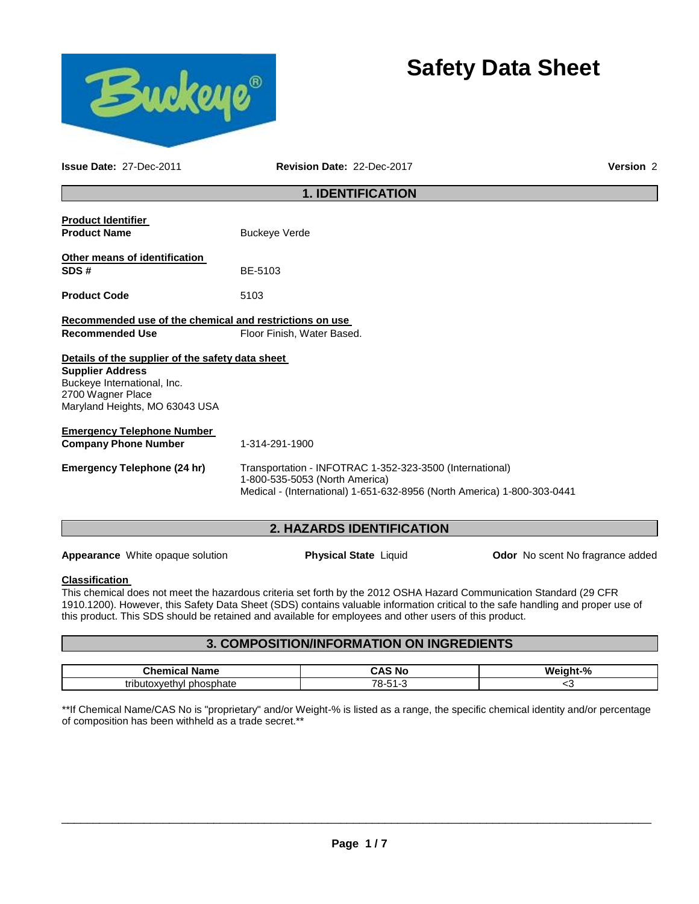# **Safety Data Sheet**



**Issue Date:** 27-Dec-2011 **Revision Date:** 22-Dec-2017 **Version** 2

## **1. IDENTIFICATION**

| <b>Product Identifier</b><br><b>Product Name</b>                                                              | <b>Buckeye Verde</b>                                                                                                                                                  |  |  |
|---------------------------------------------------------------------------------------------------------------|-----------------------------------------------------------------------------------------------------------------------------------------------------------------------|--|--|
| Other means of identification<br>SDS#                                                                         | BE-5103                                                                                                                                                               |  |  |
| <b>Product Code</b>                                                                                           | 5103                                                                                                                                                                  |  |  |
| Recommended use of the chemical and restrictions on use<br><b>Recommended Use</b>                             | Floor Finish, Water Based.                                                                                                                                            |  |  |
| Details of the supplier of the safety data sheet                                                              |                                                                                                                                                                       |  |  |
| <b>Supplier Address</b><br>Buckeye International, Inc.<br>2700 Wagner Place<br>Maryland Heights, MO 63043 USA |                                                                                                                                                                       |  |  |
| <b>Emergency Telephone Number</b>                                                                             |                                                                                                                                                                       |  |  |
| <b>Company Phone Number</b>                                                                                   | 1-314-291-1900                                                                                                                                                        |  |  |
| <b>Emergency Telephone (24 hr)</b>                                                                            | Transportation - INFOTRAC 1-352-323-3500 (International)<br>1-800-535-5053 (North America)<br>Medical - (International) 1-651-632-8956 (North America) 1-800-303-0441 |  |  |
|                                                                                                               |                                                                                                                                                                       |  |  |

# **2. HAZARDS IDENTIFICATION**

**Appearance** White opaque solution **Physical State** Liquid **Odor No scent No fragrance added** 

## **Classification**

This chemical does not meet the hazardous criteria set forth by the 2012 OSHA Hazard Communication Standard (29 CFR 1910.1200). However, this Safety Data Sheet (SDS) contains valuable information critical to the safe handling and proper use of this product. This SDS should be retained and available for employees and other users of this product.

## **3. COMPOSITION/INFORMATION ON INGREDIENTS**

| Chemic∠<br>$\sim$ Blocks $\sim$<br>11 C | <b>No</b><br>.  | - 04<br>w |
|-----------------------------------------|-----------------|-----------|
| trihi<br>hate                           | 70<br>۰,<br>. . | ີ່        |

\*\*If Chemical Name/CAS No is "proprietary" and/or Weight-% is listed as a range, the specific chemical identity and/or percentage of composition has been withheld as a trade secret.\*\*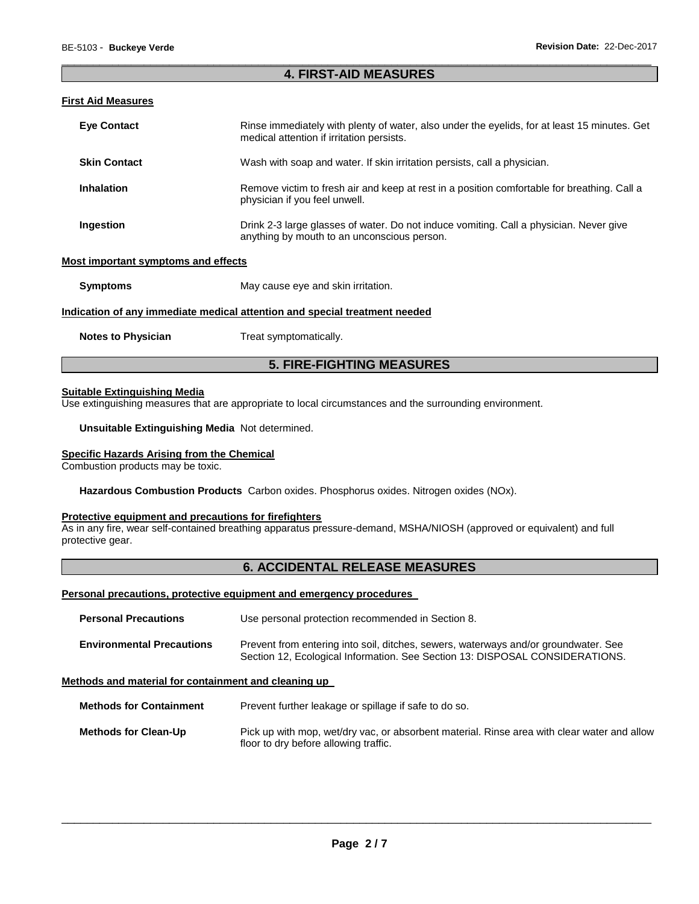## \_\_\_\_\_\_\_\_\_\_\_\_\_\_\_\_\_\_\_\_\_\_\_\_\_\_\_\_\_\_\_\_\_\_\_\_\_\_\_\_\_\_\_\_\_\_\_\_\_\_\_\_\_\_\_\_\_\_\_\_\_\_\_\_\_\_\_\_\_\_\_\_\_\_\_\_\_\_\_\_\_\_\_\_\_\_\_\_\_\_\_\_\_ **4. FIRST-AID MEASURES**

## **First Aid Measures**

| <b>Eve Contact</b>                                                         | Rinse immediately with plenty of water, also under the eyelids, for at least 15 minutes. Get<br>medical attention if irritation persists. |  |
|----------------------------------------------------------------------------|-------------------------------------------------------------------------------------------------------------------------------------------|--|
| <b>Skin Contact</b>                                                        | Wash with soap and water. If skin irritation persists, call a physician.                                                                  |  |
| <b>Inhalation</b>                                                          | Remove victim to fresh air and keep at rest in a position comfortable for breathing. Call a<br>physician if you feel unwell.              |  |
| Ingestion                                                                  | Drink 2-3 large glasses of water. Do not induce vomiting. Call a physician. Never give<br>anything by mouth to an unconscious person.     |  |
| Most important symptoms and effects                                        |                                                                                                                                           |  |
| <b>Symptoms</b>                                                            | May cause eye and skin irritation.                                                                                                        |  |
| Indication of any immediate medical attention and special treatment needed |                                                                                                                                           |  |

**Notes to Physician Treat symptomatically.** 

## **5. FIRE-FIGHTING MEASURES**

## **Suitable Extinguishing Media**

Use extinguishing measures that are appropriate to local circumstances and the surrounding environment.

**Unsuitable Extinguishing Media** Not determined.

#### **Specific Hazards Arising from the Chemical**

Combustion products may be toxic.

**Hazardous Combustion Products** Carbon oxides. Phosphorus oxides. Nitrogen oxides (NOx).

## **Protective equipment and precautions for firefighters**

As in any fire, wear self-contained breathing apparatus pressure-demand, MSHA/NIOSH (approved or equivalent) and full protective gear.

## **6. ACCIDENTAL RELEASE MEASURES**

#### **Personal precautions, protective equipment and emergency procedures**

| <b>Personal Precautions</b>      | Use personal protection recommended in Section 8.                                                                                                                   |  |
|----------------------------------|---------------------------------------------------------------------------------------------------------------------------------------------------------------------|--|
| <b>Environmental Precautions</b> | Prevent from entering into soil, ditches, sewers, waterways and/or groundwater. See<br>Section 12, Ecological Information. See Section 13: DISPOSAL CONSIDERATIONS. |  |

#### **Methods and material for containment and cleaning up**

**Methods for Containment** Prevent further leakage or spillage if safe to do so.

**Methods for Clean-Up** Pick up with mop, wet/dry vac, or absorbent material. Rinse area with clear water and allow floor to dry before allowing traffic.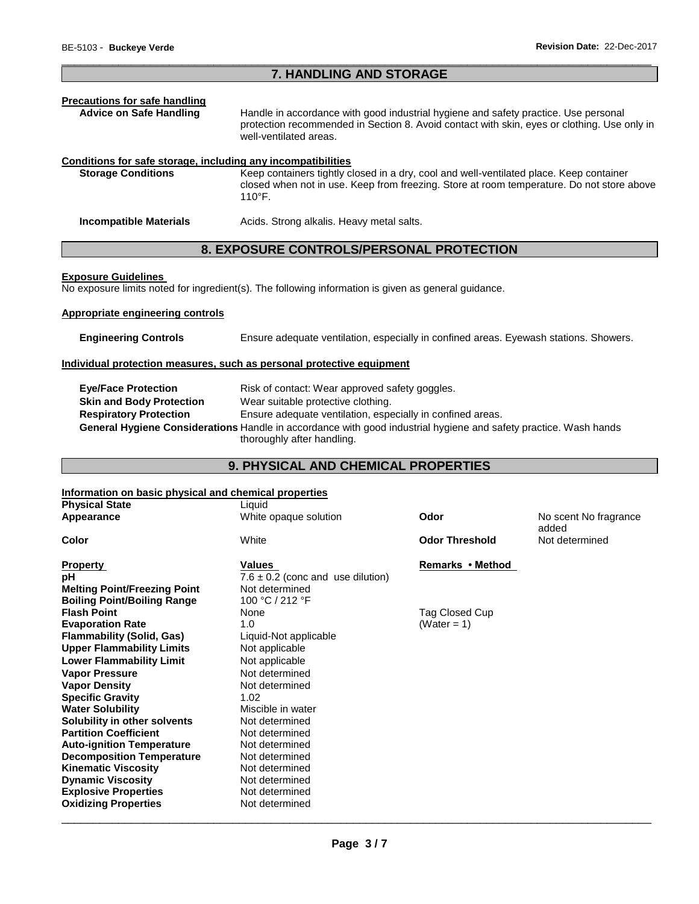## \_\_\_\_\_\_\_\_\_\_\_\_\_\_\_\_\_\_\_\_\_\_\_\_\_\_\_\_\_\_\_\_\_\_\_\_\_\_\_\_\_\_\_\_\_\_\_\_\_\_\_\_\_\_\_\_\_\_\_\_\_\_\_\_\_\_\_\_\_\_\_\_\_\_\_\_\_\_\_\_\_\_\_\_\_\_\_\_\_\_\_\_\_ **7. HANDLING AND STORAGE**

# **Precautions for safe handling**

Handle in accordance with good industrial hygiene and safety practice. Use personal protection recommended in Section 8. Avoid contact with skin, eyes or clothing. Use only in well-ventilated areas.

## **Conditions for safe storage, including any incompatibilities**

**Storage Conditions** Keep containers tightly closed in a dry, cool and well-ventilated place. Keep container closed when not in use. Keep from freezing. Store at room temperature. Do not store above 110°F.

**Incompatible Materials Acids. Strong alkalis. Heavy metal salts.** 

## **8. EXPOSURE CONTROLS/PERSONAL PROTECTION**

#### **Exposure Guidelines**

No exposure limits noted for ingredient(s). The following information is given as general guidance.

## **Appropriate engineering controls**

**Engineering Controls** Ensure adequate ventilation, especially in confined areas. Eyewash stations. Showers.

## **Individual protection measures, such as personal protective equipment**

| <b>Eve/Face Protection</b>      | Risk of contact: Wear approved safety goggles.                                                                   |
|---------------------------------|------------------------------------------------------------------------------------------------------------------|
| <b>Skin and Body Protection</b> | Wear suitable protective clothing.                                                                               |
| <b>Respiratory Protection</b>   | Ensure adequate ventilation, especially in confined areas.                                                       |
|                                 | General Hygiene Considerations Handle in accordance with good industrial hygiene and safety practice. Wash hands |
|                                 | thoroughly after handling.                                                                                       |

## **9. PHYSICAL AND CHEMICAL PROPERTIES**

## **Information on basic physical and chemical properties**

| <b>Physical State</b>               | Liquid                                |                       |                                |
|-------------------------------------|---------------------------------------|-----------------------|--------------------------------|
| <b>Appearance</b>                   | White opaque solution                 | Odor                  | No scent No fragrance<br>added |
| Color                               | White                                 | <b>Odor Threshold</b> | Not determined                 |
| Property                            | Values                                | Remarks • Method      |                                |
| pН                                  | $7.6 \pm 0.2$ (conc and use dilution) |                       |                                |
| <b>Melting Point/Freezing Point</b> | Not determined                        |                       |                                |
| <b>Boiling Point/Boiling Range</b>  | 100 °C / 212 °F                       |                       |                                |
| <b>Flash Point</b>                  | None                                  | Tag Closed Cup        |                                |
| <b>Evaporation Rate</b>             | 1.0                                   | (Water = 1)           |                                |
| Flammability (Solid, Gas)           | Liquid-Not applicable                 |                       |                                |
| <b>Upper Flammability Limits</b>    | Not applicable                        |                       |                                |
| <b>Lower Flammability Limit</b>     | Not applicable                        |                       |                                |
| <b>Vapor Pressure</b>               | Not determined                        |                       |                                |
| <b>Vapor Density</b>                | Not determined                        |                       |                                |
| <b>Specific Gravity</b>             | 1.02                                  |                       |                                |
| <b>Water Solubility</b>             | Miscible in water                     |                       |                                |
| Solubility in other solvents        | Not determined                        |                       |                                |
| <b>Partition Coefficient</b>        | Not determined                        |                       |                                |
| <b>Auto-ignition Temperature</b>    | Not determined                        |                       |                                |
| <b>Decomposition Temperature</b>    | Not determined                        |                       |                                |
| <b>Kinematic Viscosity</b>          | Not determined                        |                       |                                |
| <b>Dynamic Viscosity</b>            | Not determined                        |                       |                                |
| <b>Explosive Properties</b>         | Not determined                        |                       |                                |
| <b>Oxidizing Properties</b>         | Not determined                        |                       |                                |
|                                     |                                       |                       |                                |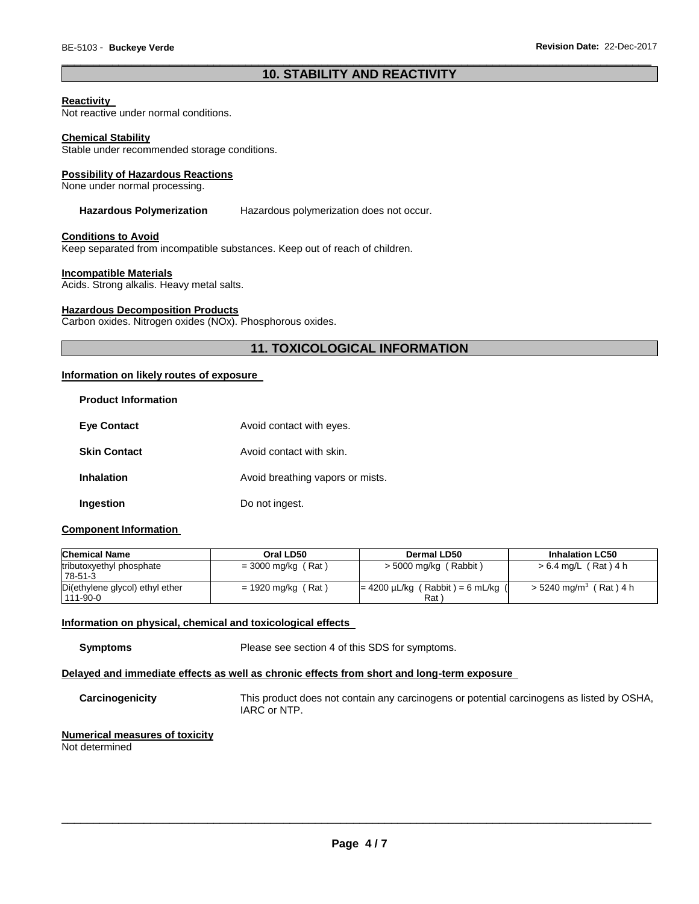## \_\_\_\_\_\_\_\_\_\_\_\_\_\_\_\_\_\_\_\_\_\_\_\_\_\_\_\_\_\_\_\_\_\_\_\_\_\_\_\_\_\_\_\_\_\_\_\_\_\_\_\_\_\_\_\_\_\_\_\_\_\_\_\_\_\_\_\_\_\_\_\_\_\_\_\_\_\_\_\_\_\_\_\_\_\_\_\_\_\_\_\_\_ **10. STABILITY AND REACTIVITY**

## **Reactivity**

Not reactive under normal conditions.

#### **Chemical Stability**

Stable under recommended storage conditions.

#### **Possibility of Hazardous Reactions**

None under normal processing.

#### **Hazardous Polymerization** Hazardous polymerization does not occur.

#### **Conditions to Avoid**

Keep separated from incompatible substances. Keep out of reach of children.

#### **Incompatible Materials**

Acids. Strong alkalis. Heavy metal salts.

## **Hazardous Decomposition Products**

Carbon oxides. Nitrogen oxides (NOx). Phosphorous oxides.

## **11. TOXICOLOGICAL INFORMATION**

## **Information on likely routes of exposure**

| <b>Product Information</b> |                                  |
|----------------------------|----------------------------------|
| <b>Eve Contact</b>         | Avoid contact with eyes.         |
| <b>Skin Contact</b>        | Avoid contact with skin.         |
| <b>Inhalation</b>          | Avoid breathing vapors or mists. |
| Ingestion                  | Do not ingest.                   |

## **Component Information**

| <b>Chemical Name</b>                              | Oral LD50            | Dermal LD50                                              | <b>Inhalation LC50</b>               |
|---------------------------------------------------|----------------------|----------------------------------------------------------|--------------------------------------|
| tributoxyethyl phosphate<br>78-51-3               | $= 3000$ mg/kg (Rat) | $>$ 5000 mg/kg (Rabbit)                                  | > 6.4 mg/L (Rat) 4 h                 |
| Di(ethylene glycol) ethyl ether<br>$111 - 90 - 0$ | $= 1920$ mg/kg (Rat) | $= 4200 \mu L/kg$ (Rabbit) = 6 mL/kg<br>Rat <sup>'</sup> | $>$ 5240 mg/m <sup>3</sup> (Rat) 4 h |

## **Information on physical, chemical and toxicological effects**

**Symptoms** Please see section 4 of this SDS for symptoms.

## **Delayed and immediate effects as well as chronic effects from short and long-term exposure**

**Carcinogenicity** This product does not contain any carcinogens or potential carcinogens as listed by OSHA, IARC or NTP.

#### **Numerical measures of toxicity** Not determined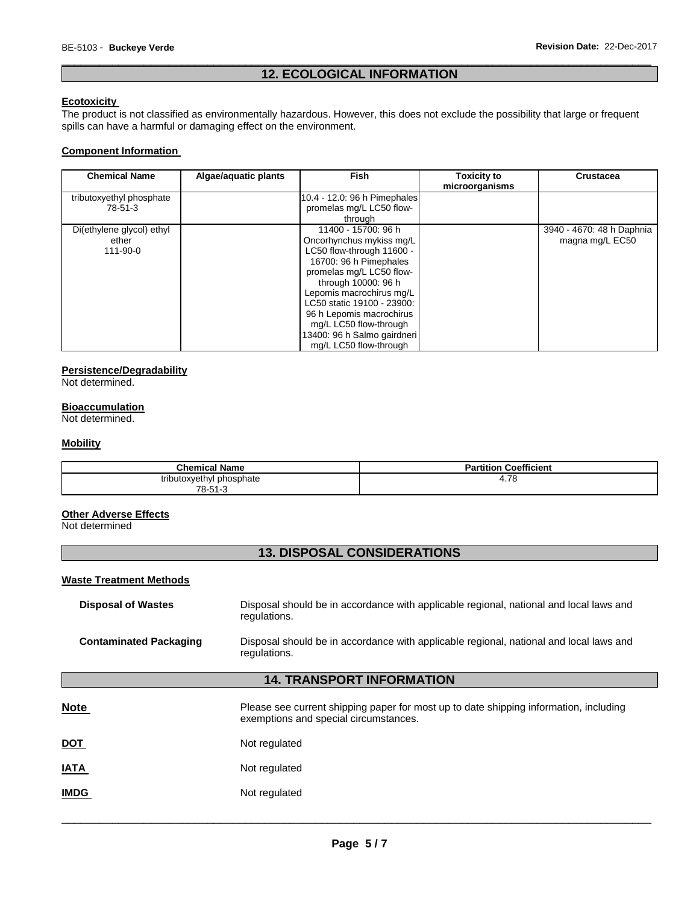## \_\_\_\_\_\_\_\_\_\_\_\_\_\_\_\_\_\_\_\_\_\_\_\_\_\_\_\_\_\_\_\_\_\_\_\_\_\_\_\_\_\_\_\_\_\_\_\_\_\_\_\_\_\_\_\_\_\_\_\_\_\_\_\_\_\_\_\_\_\_\_\_\_\_\_\_\_\_\_\_\_\_\_\_\_\_\_\_\_\_\_\_\_ **12. ECOLOGICAL INFORMATION**

## **Ecotoxicity**

The product is not classified as environmentally hazardous. However, this does not exclude the possibility that large or frequent spills can have a harmful or damaging effect on the environment.

## **Component Information**

| <b>Chemical Name</b>      | Algae/aquatic plants | <b>Fish</b>                  | <b>Toxicity to</b><br>microorganisms | <b>Crustacea</b>          |
|---------------------------|----------------------|------------------------------|--------------------------------------|---------------------------|
| tributoxyethyl phosphate  |                      | 10.4 - 12.0: 96 h Pimephales |                                      |                           |
| 78-51-3                   |                      | promelas mg/L LC50 flow-     |                                      |                           |
|                           |                      | through                      |                                      |                           |
| Di(ethylene glycol) ethyl |                      | 11400 - 15700: 96 h          |                                      | 3940 - 4670: 48 h Daphnia |
| ether                     |                      | Oncorhynchus mykiss mg/L     |                                      | magna mg/L EC50           |
| 111-90-0                  |                      | LC50 flow-through 11600 -    |                                      |                           |
|                           |                      | 16700: 96 h Pimephales       |                                      |                           |
|                           |                      | promelas mg/L LC50 flow-     |                                      |                           |
|                           |                      | through 10000: 96 h          |                                      |                           |
|                           |                      | Lepomis macrochirus mg/L     |                                      |                           |
|                           |                      | LC50 static 19100 - 23900:   |                                      |                           |
|                           |                      | 96 h Lepomis macrochirus     |                                      |                           |
|                           |                      | mg/L LC50 flow-through       |                                      |                           |
|                           |                      | 13400: 96 h Salmo gairdneri  |                                      |                           |
|                           |                      | ma/L LC50 flow-through       |                                      |                           |

## **Persistence/Degradability**

Not determined.

## **Bioaccumulation**

Not determined.

## **Mobility**

| <b>Chemical Name</b>          | <b>Coefficient</b><br>.<br>Partition |
|-------------------------------|--------------------------------------|
| tributoxyethyl<br>l phosphate | 70<br>4. I O<br>$\sim$               |
| 78-51-3                       |                                      |

## **Other Adverse Effects**

Not determined

## **13. DISPOSAL CONSIDERATIONS**

#### **Waste Treatment Methods**

| <b>Disposal of Wastes</b>     | Disposal should be in accordance with applicable regional, national and local laws and<br>regulations. |
|-------------------------------|--------------------------------------------------------------------------------------------------------|
| <b>Contaminated Packaging</b> | Disposal should be in accordance with applicable regional, national and local laws and<br>regulations. |

# **14. TRANSPORT INFORMATION**

| <b>Note</b> | Please see current shipping paper for most up to date shipping information, including<br>exemptions and special circumstances. |
|-------------|--------------------------------------------------------------------------------------------------------------------------------|
| <u>DOT</u>  | Not regulated                                                                                                                  |
| <b>IATA</b> | Not regulated                                                                                                                  |
| <b>IMDG</b> | Not regulated                                                                                                                  |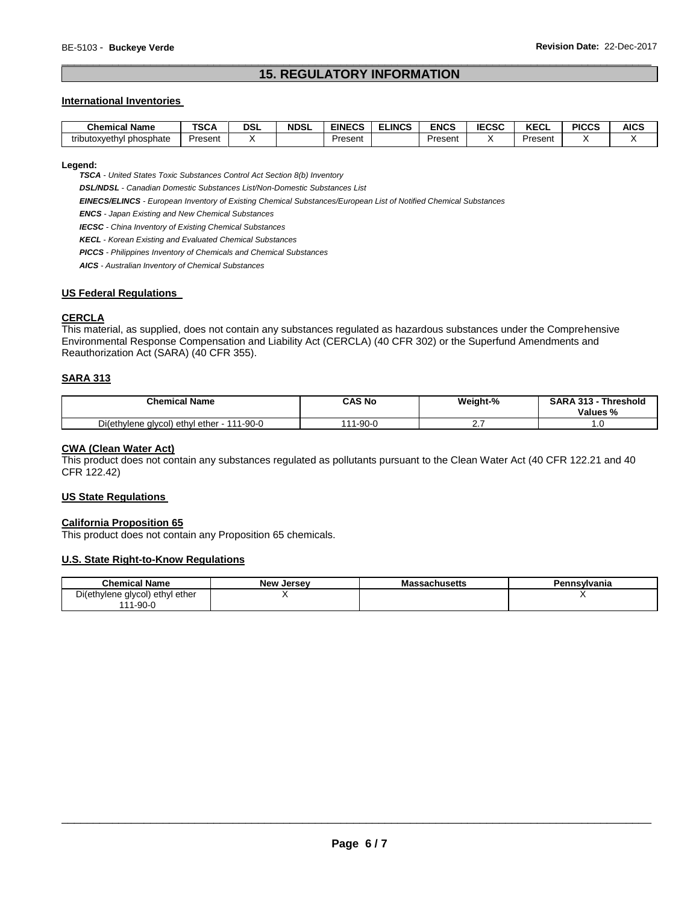## \_\_\_\_\_\_\_\_\_\_\_\_\_\_\_\_\_\_\_\_\_\_\_\_\_\_\_\_\_\_\_\_\_\_\_\_\_\_\_\_\_\_\_\_\_\_\_\_\_\_\_\_\_\_\_\_\_\_\_\_\_\_\_\_\_\_\_\_\_\_\_\_\_\_\_\_\_\_\_\_\_\_\_\_\_\_\_\_\_\_\_\_\_ **15. REGULATORY INFORMATION**

## **International Inventories**

| - -<br>Chemical<br><b>Name</b> | T<br>. SCA | <b>DSL</b> | <b>NDSL</b> | <b>EINECS</b> | <b>ELINCS</b> | <b>ENCS</b> | <b>IECSC</b> | $V = 0$<br>ncul | <b>PICCS</b> | <b>AICS</b> |
|--------------------------------|------------|------------|-------------|---------------|---------------|-------------|--------------|-----------------|--------------|-------------|
| tributoxyethyl<br>phosphate    | Present    |            |             | Present       |               | Present     |              | Present         |              |             |

#### **Legend:**

*TSCA - United States Toxic Substances Control Act Section 8(b) Inventory* 

*DSL/NDSL - Canadian Domestic Substances List/Non-Domestic Substances List* 

*EINECS/ELINCS - European Inventory of Existing Chemical Substances/European List of Notified Chemical Substances* 

*ENCS - Japan Existing and New Chemical Substances* 

*IECSC - China Inventory of Existing Chemical Substances* 

*KECL - Korean Existing and Evaluated Chemical Substances* 

*PICCS - Philippines Inventory of Chemicals and Chemical Substances* 

*AICS - Australian Inventory of Chemical Substances* 

## **US Federal Regulations**

## **CERCLA**

This material, as supplied, does not contain any substances regulated as hazardous substances under the Comprehensive Environmental Response Compensation and Liability Act (CERCLA) (40 CFR 302) or the Superfund Amendments and Reauthorization Act (SARA) (40 CFR 355).

## **SARA 313**

| <b>Chemical Name</b>                            | CAS No       | Weight-%  | <b>SARA 313</b><br><b>Threshold</b><br>Values % |
|-------------------------------------------------|--------------|-----------|-------------------------------------------------|
| Di(ethylene glycol) ethyl ether - 1<br>111-90-0 | $1 - 90 - 6$ | <b>L.</b> | ט.ו                                             |

## **CWA (Clean Water Act)**

This product does not contain any substances regulated as pollutants pursuant to the Clean Water Act (40 CFR 122.21 and 40 CFR 122.42)

#### **US State Regulations**

#### **California Proposition 65**

This product does not contain any Proposition 65 chemicals.

## **U.S. State Right-to-Know Regulations**

| <b>Chemical Name</b>                              | <b>New Jersey</b> | <b>assachusetts</b><br>Mas | Pennsvlvania |
|---------------------------------------------------|-------------------|----------------------------|--------------|
| Di(ethylene glycol) ethyl ether<br>ີ 1-90-ບ<br>44 |                   |                            |              |